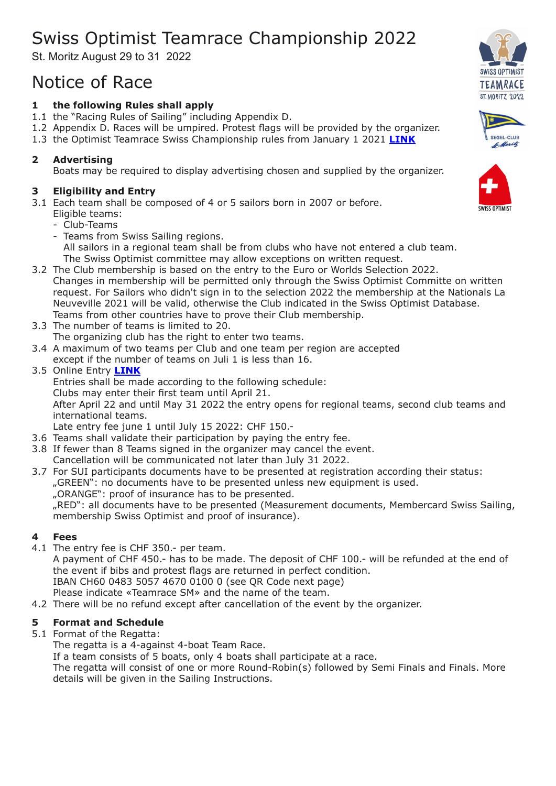# Swiss Optimist Teamrace Championship 2022

St. Moritz August 29 to 31 2022

## Notice of Race

## **1 the following Rules shall apply**

- 1.1 the "Racing Rules of Sailing" including Appendix D.
- 1.2 Appendix D. Races will be umpired. Protest flags will be provided by the organizer.
- 1.3 the Optimist Teamrace Swiss Championship rules from January 1 2021 **[LINK](https://www.swiss-sailing.ch/_Resources/Persistent/ed349f66af87c3f11f4ef18ed179f6cbb6d34240/Regl_SM_OPTITeamRace_ab2021_def.pdf)**

## **2 Advertising**

Boats may be required to display advertising chosen and supplied by the organizer.

## **3 Eligibility and Entry**

- 3.1 Each team shall be composed of 4 or 5 sailors born in 2007 or before.
	- Eligible teams:
	- Club-Teams
	- Teams from Swiss Sailing regions. All sailors in a regional team shall be from clubs who have not entered a club team. The Swiss Optimist committee may allow exceptions on written request.
- 3.2 The Club membership is based on the entry to the Euro or Worlds Selection 2022. Changes in membership will be permitted only through the Swiss Optimist Committe on written request. For Sailors who didn't sign in to the selection 2022 the membership at the Nationals La Neuveville 2021 will be valid, otherwise the Club indicated in the Swiss Optimist Database. Teams from other countries have to prove their Club membership.
- 3.3 The number of teams is limited to 20.
- The organizing club has the right to enter two teams.
- 3.4 A maximum of two teams per Club and one team per region are accepted except if the number of teams on Juli 1 is less than 16.
- 3.5 Online Entry **[LINK](https://softools17.netjump.swiss/fmi/webd/TeamraceEntry)**

Entries shall be made according to the following schedule:

Clubs may enter their first team until April 21.

After April 22 and until May 31 2022 the entry opens for regional teams, second club teams and international teams.

Late entry fee june 1 until July 15 2022: CHF 150.-

- 3.6 Teams shall validate their participation by paying the entry fee.
- 3.8 If fewer than 8 Teams signed in the organizer may cancel the event.
- Cancellation will be communicated not later than July 31 2022.
- 3.7 For SUI participants documents have to be presented at registration according their status:

"GREEN": no documents have to be presented unless new equipment is used.

"ORANGE": proof of insurance has to be presented.

"RED": all documents have to be presented (Measurement documents, Membercard Swiss Sailing, membership Swiss Optimist and proof of insurance).

## **4 Fees**

4.1 The entry fee is CHF 350.- per team.

A payment of CHF 450.- has to be made. The deposit of CHF 100.- will be refunded at the end of the event if bibs and protest flags are returned in perfect condition. IBAN CH60 0483 5057 4670 0100 0 (see QR Code next page)

Please indicate «Teamrace SM» and the name of the team.

4.2 There will be no refund except after cancellation of the event by the organizer.

## **5 Format and Schedule**

## 5.1 Format of the Regatta:

The regatta is a 4-against 4-boat Team Race.

If a team consists of 5 boats, only 4 boats shall participate at a race.

The regatta will consist of one or more Round-Robin(s) followed by Semi Finals and Finals. More details will be given in the Sailing Instructions.